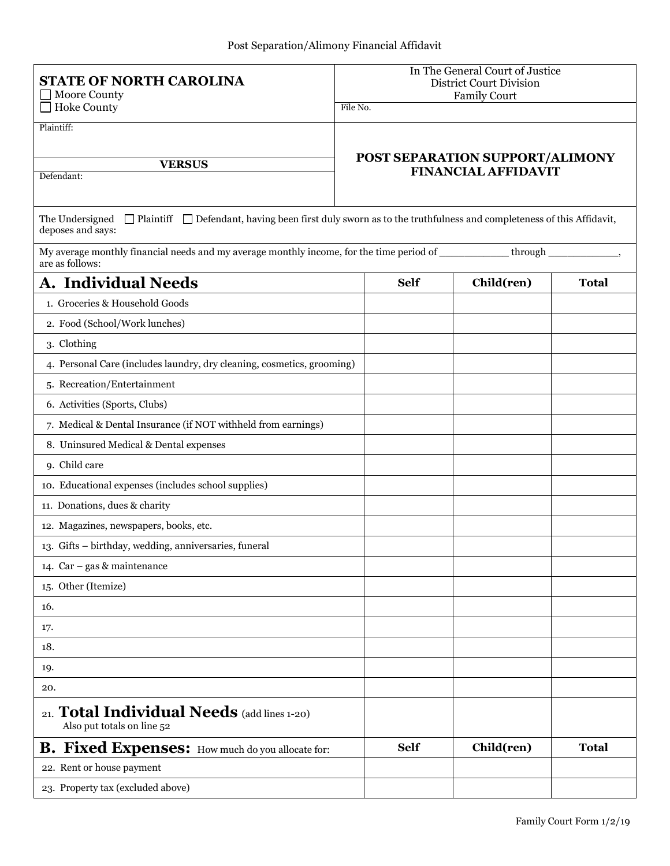| <b>STATE OF NORTH CAROLINA</b><br><b>Moore County</b>                                                                                                              |          | In The General Court of Justice<br><b>District Court Division</b><br><b>Family Court</b> |                                 |              |
|--------------------------------------------------------------------------------------------------------------------------------------------------------------------|----------|------------------------------------------------------------------------------------------|---------------------------------|--------------|
| <b>Hoke County</b>                                                                                                                                                 | File No. |                                                                                          |                                 |              |
| Plaintiff:                                                                                                                                                         |          |                                                                                          |                                 |              |
|                                                                                                                                                                    |          |                                                                                          | POST SEPARATION SUPPORT/ALIMONY |              |
| <b>VERSUS</b><br>Defendant:                                                                                                                                        |          |                                                                                          | <b>FINANCIAL AFFIDAVIT</b>      |              |
|                                                                                                                                                                    |          |                                                                                          |                                 |              |
| $\Box$ Plaintiff $\Box$ Defendant, having been first duly sworn as to the truthfulness and completeness of this Affidavit,<br>The Undersigned<br>deposes and says: |          |                                                                                          |                                 |              |
| My average monthly financial needs and my average monthly income, for the time period of<br>are as follows:                                                        |          |                                                                                          | through                         |              |
| A. Individual Needs                                                                                                                                                |          | <b>Self</b>                                                                              | Child(ren)                      | <b>Total</b> |
| 1. Groceries & Household Goods                                                                                                                                     |          |                                                                                          |                                 |              |
| 2. Food (School/Work lunches)                                                                                                                                      |          |                                                                                          |                                 |              |
| 3. Clothing                                                                                                                                                        |          |                                                                                          |                                 |              |
| 4. Personal Care (includes laundry, dry cleaning, cosmetics, grooming)                                                                                             |          |                                                                                          |                                 |              |
| 5. Recreation/Entertainment                                                                                                                                        |          |                                                                                          |                                 |              |
| 6. Activities (Sports, Clubs)                                                                                                                                      |          |                                                                                          |                                 |              |
| 7. Medical & Dental Insurance (if NOT withheld from earnings)                                                                                                      |          |                                                                                          |                                 |              |
| 8. Uninsured Medical & Dental expenses                                                                                                                             |          |                                                                                          |                                 |              |
| 9. Child care                                                                                                                                                      |          |                                                                                          |                                 |              |
| 10. Educational expenses (includes school supplies)                                                                                                                |          |                                                                                          |                                 |              |
| 11. Donations, dues & charity                                                                                                                                      |          |                                                                                          |                                 |              |
| 12. Magazines, newspapers, books, etc.                                                                                                                             |          |                                                                                          |                                 |              |
| 13. Gifts - birthday, wedding, anniversaries, funeral                                                                                                              |          |                                                                                          |                                 |              |
| 14. Car - gas & maintenance                                                                                                                                        |          |                                                                                          |                                 |              |
| 15. Other (Itemize)                                                                                                                                                |          |                                                                                          |                                 |              |
| 16.                                                                                                                                                                |          |                                                                                          |                                 |              |
| 17.                                                                                                                                                                |          |                                                                                          |                                 |              |
| 18.                                                                                                                                                                |          |                                                                                          |                                 |              |
| 19.                                                                                                                                                                |          |                                                                                          |                                 |              |
| 20.                                                                                                                                                                |          |                                                                                          |                                 |              |
| 21. Total Individual Needs (add lines 1-20)<br>Also put totals on line 52                                                                                          |          |                                                                                          |                                 |              |
| <b>B.</b> Fixed Expenses: How much do you allocate for:                                                                                                            |          | <b>Self</b>                                                                              | Child(ren)                      | <b>Total</b> |
| 22. Rent or house payment                                                                                                                                          |          |                                                                                          |                                 |              |
| 23. Property tax (excluded above)                                                                                                                                  |          |                                                                                          |                                 |              |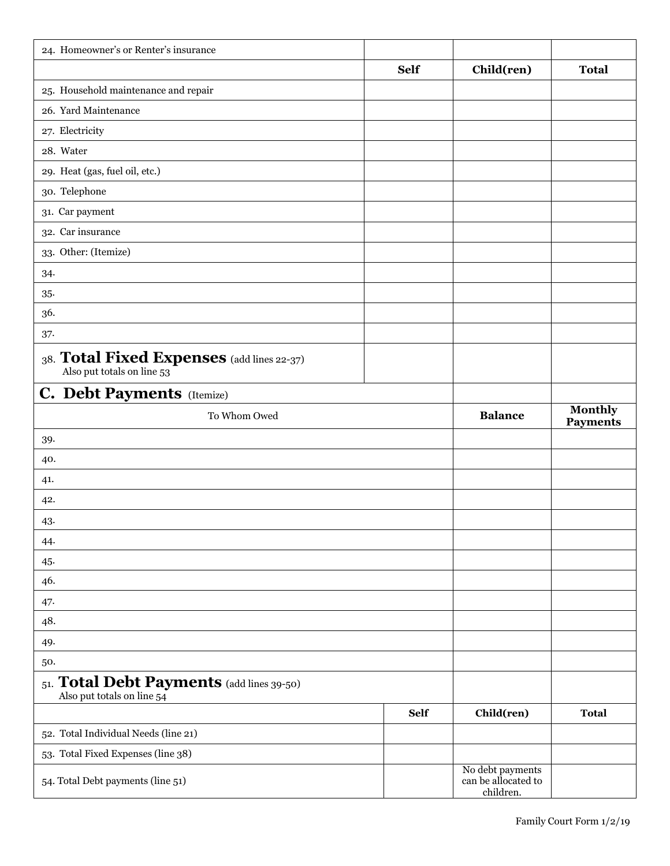| 24. Homeowner's or Renter's insurance                                    |             |                                                      |                                   |
|--------------------------------------------------------------------------|-------------|------------------------------------------------------|-----------------------------------|
|                                                                          | <b>Self</b> | Child(ren)                                           | <b>Total</b>                      |
| 25. Household maintenance and repair                                     |             |                                                      |                                   |
| 26. Yard Maintenance                                                     |             |                                                      |                                   |
| 27. Electricity                                                          |             |                                                      |                                   |
| 28. Water                                                                |             |                                                      |                                   |
| 29. Heat (gas, fuel oil, etc.)                                           |             |                                                      |                                   |
| 30. Telephone                                                            |             |                                                      |                                   |
| 31. Car payment                                                          |             |                                                      |                                   |
| 32. Car insurance                                                        |             |                                                      |                                   |
| 33. Other: (Itemize)                                                     |             |                                                      |                                   |
| 34.                                                                      |             |                                                      |                                   |
| $35-$                                                                    |             |                                                      |                                   |
| 36.                                                                      |             |                                                      |                                   |
| 37.                                                                      |             |                                                      |                                   |
| 38. Total Fixed Expenses (add lines 22-37)<br>Also put totals on line 53 |             |                                                      |                                   |
| <b>C. Debt Payments</b> (Itemize)                                        |             |                                                      |                                   |
| To Whom Owed                                                             |             | <b>Balance</b>                                       | <b>Monthly</b><br><b>Payments</b> |
| 39.                                                                      |             |                                                      |                                   |
| 40.                                                                      |             |                                                      |                                   |
| 41.                                                                      |             |                                                      |                                   |
| 42.                                                                      |             |                                                      |                                   |
| 43.                                                                      |             |                                                      |                                   |
| 44.                                                                      |             |                                                      |                                   |
| 45.                                                                      |             |                                                      |                                   |
| 46.                                                                      |             |                                                      |                                   |
| 47.                                                                      |             |                                                      |                                   |
| 48.                                                                      |             |                                                      |                                   |
| 49.                                                                      |             |                                                      |                                   |
| 50.                                                                      |             |                                                      |                                   |
| 51. Total Debt Payments (add lines 39-50)<br>Also put totals on line 54  |             |                                                      |                                   |
|                                                                          | <b>Self</b> | Child(ren)                                           | <b>Total</b>                      |
| 52. Total Individual Needs (line 21)                                     |             |                                                      |                                   |
| 53. Total Fixed Expenses (line 38)                                       |             |                                                      |                                   |
| 54. Total Debt payments (line 51)                                        |             | No debt payments<br>can be allocated to<br>children. |                                   |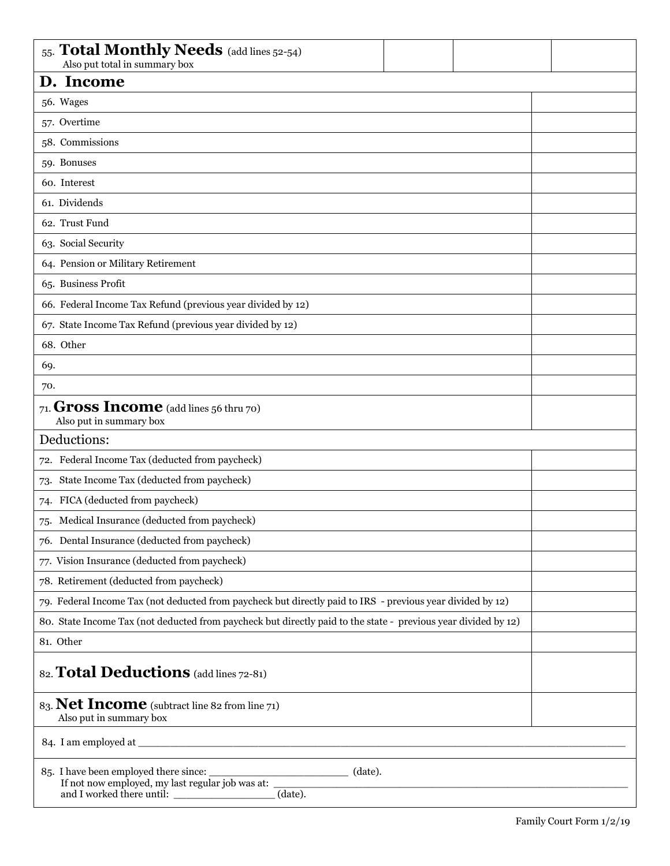| 55. Total Monthly Needs (add lines 52-54)<br>Also put total in summary box                                                                       |  |  |
|--------------------------------------------------------------------------------------------------------------------------------------------------|--|--|
| D. Income                                                                                                                                        |  |  |
| 56. Wages                                                                                                                                        |  |  |
| 57. Overtime                                                                                                                                     |  |  |
| 58. Commissions                                                                                                                                  |  |  |
| 59. Bonuses                                                                                                                                      |  |  |
| 60. Interest                                                                                                                                     |  |  |
| 61. Dividends                                                                                                                                    |  |  |
| 62. Trust Fund                                                                                                                                   |  |  |
| 63. Social Security                                                                                                                              |  |  |
| 64. Pension or Military Retirement                                                                                                               |  |  |
| 65. Business Profit                                                                                                                              |  |  |
| 66. Federal Income Tax Refund (previous year divided by 12)                                                                                      |  |  |
| 67. State Income Tax Refund (previous year divided by 12)                                                                                        |  |  |
| 68. Other                                                                                                                                        |  |  |
| 69.                                                                                                                                              |  |  |
| 70.                                                                                                                                              |  |  |
| 71. <b>Gross Income</b> (add lines 56 thru 70)<br>Also put in summary box                                                                        |  |  |
| Deductions:                                                                                                                                      |  |  |
| 72. Federal Income Tax (deducted from paycheck)                                                                                                  |  |  |
| State Income Tax (deducted from paycheck)<br>73.                                                                                                 |  |  |
| FICA (deducted from paycheck)<br>74.                                                                                                             |  |  |
| 75. Medical Insurance (deducted from paycheck)                                                                                                   |  |  |
| 76. Dental Insurance (deducted from paycheck)                                                                                                    |  |  |
| 77. Vision Insurance (deducted from paycheck)                                                                                                    |  |  |
| 78. Retirement (deducted from paycheck)                                                                                                          |  |  |
| 79. Federal Income Tax (not deducted from paycheck but directly paid to IRS - previous year divided by 12)                                       |  |  |
| 80. State Income Tax (not deducted from paycheck but directly paid to the state - previous year divided by 12)                                   |  |  |
| 81. Other                                                                                                                                        |  |  |
| 82. Total Deductions (add lines 72-81)                                                                                                           |  |  |
| 83. Net Income (subtract line 82 from line 71)<br>Also put in summary box                                                                        |  |  |
|                                                                                                                                                  |  |  |
| 85. I have been employed there since: __________________________________ (date).<br>If not now employed, my last regular job was at: ___________ |  |  |